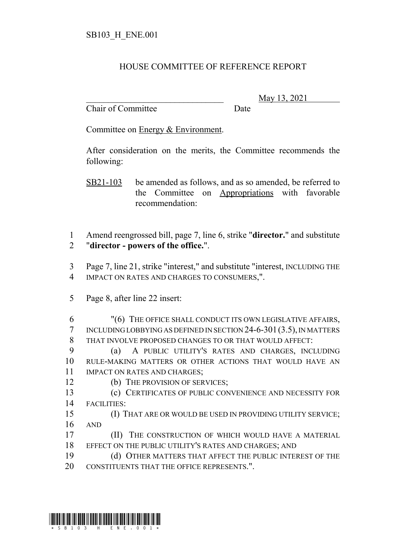## HOUSE COMMITTEE OF REFERENCE REPORT

Chair of Committee Date

\_\_\_\_\_\_\_\_\_\_\_\_\_\_\_\_\_\_\_\_\_\_\_\_\_\_\_\_\_\_\_ May 13, 2021

Committee on Energy & Environment.

After consideration on the merits, the Committee recommends the following:

SB21-103 be amended as follows, and as so amended, be referred to the Committee on Appropriations with favorable recommendation:

 Amend reengrossed bill, page 7, line 6, strike "**director.**" and substitute "**director - powers of the office.**".

 Page 7, line 21, strike "interest," and substitute "interest, INCLUDING THE IMPACT ON RATES AND CHARGES TO CONSUMERS,".

Page 8, after line 22 insert:

 "(6) THE OFFICE SHALL CONDUCT ITS OWN LEGISLATIVE AFFAIRS, INCLUDING LOBBYING AS DEFINED IN SECTION 24-6-301(3.5), IN MATTERS THAT INVOLVE PROPOSED CHANGES TO OR THAT WOULD AFFECT:

 (a) A PUBLIC UTILITY'S RATES AND CHARGES, INCLUDING RULE-MAKING MATTERS OR OTHER ACTIONS THAT WOULD HAVE AN IMPACT ON RATES AND CHARGES;

(b) THE PROVISION OF SERVICES;

 (c) CERTIFICATES OF PUBLIC CONVENIENCE AND NECESSITY FOR FACILITIES:

- (I) THAT ARE OR WOULD BE USED IN PROVIDING UTILITY SERVICE; AND
- **(II)** THE CONSTRUCTION OF WHICH WOULD HAVE A MATERIAL EFFECT ON THE PUBLIC UTILITY'S RATES AND CHARGES; AND
- (d) OTHER MATTERS THAT AFFECT THE PUBLIC INTEREST OF THE 20 CONSTITUENTS THAT THE OFFICE REPRESENTS.".